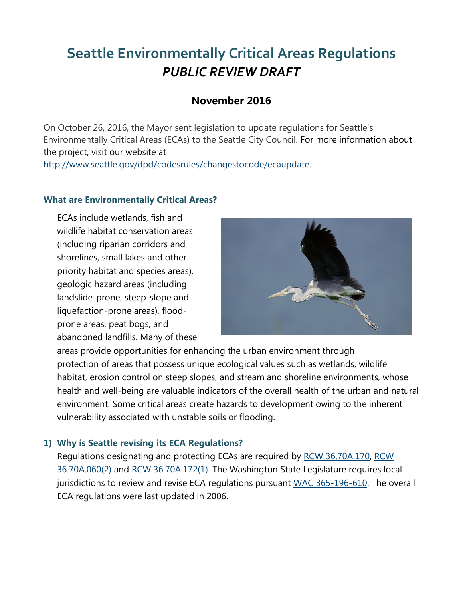# **Seattle Environmentally Critical Areas Regulations** *PUBLIC REVIEW DRAFT*

## **November 2016**

On October 26, 2016, the Mayor sent legislation to update regulations for Seattle's Environmentally Critical Areas (ECAs) to the Seattle City Council. For more information about the project, visit our website at [http://www.seattle.gov/dpd/codesrules/changestocode/ecaupdate.](http://www.seattle.gov/dpd/codesrules/changestocode/ecaupdate)

#### **What are Environmentally Critical Areas?**

ECAs include wetlands, fish and wildlife habitat conservation areas (including riparian corridors and shorelines, small lakes and other priority habitat and species areas), geologic hazard areas (including landslide-prone, steep-slope and liquefaction-prone areas), floodprone areas, peat bogs, and abandoned landfills. Many of these



areas provide opportunities for enhancing the urban environment through protection of areas that possess unique ecological values such as wetlands, wildlife habitat, erosion control on steep slopes, and stream and shoreline environments, whose health and well-being are valuable indicators of the overall health of the urban and natural environment. Some critical areas create hazards to development owing to the inherent vulnerability associated with unstable soils or flooding.

### **1) Why is Seattle revising its ECA Regulations?**

Regulations designating and protecting ECAs are required by [RCW 36.70A.170,](http://apps.leg.wa.gov/rcw/default.aspx?cite=36.70A.170) [RCW](http://apps.leg.wa.gov/RCW/default.aspx?cite=36.70A.060)  [36.70A.060\(2\)](http://apps.leg.wa.gov/RCW/default.aspx?cite=36.70A.060) and [RCW 36.70A.172\(1\).](http://apps.leg.wa.gov/RCW/default.aspx?cite=36.70A.172) The Washington State Legislature requires local jurisdictions to review and revise ECA regulations pursuant [WAC 365-196-610.](http://apps.leg.wa.gov/WAC/default.aspx?cite=365-196-610) The overall ECA regulations were last updated in 2006.